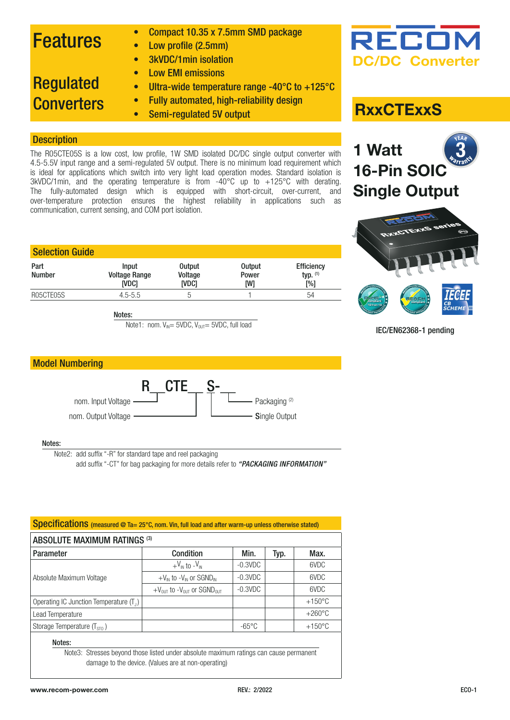## Features

- Compact 10.35 x 7.5mm SMD package
- Low profile (2.5mm)
- 3kVDC/1min isolation
- Low EMI emissions

### • Ultra-wide temperature range -40°C to +125°C

• Fully automated, high-reliability design

## Regulated **Converters**

• Semi-regulated 5V output

### **Description**

The R05CTE05S is a low cost, low profile, 1W SMD isolated DC/DC single output converter with 4.5-5.5V input range and a semi-regulated 5V output. There is no minimum load requirement which is ideal for applications which switch into very light load operation modes. Standard isolation is 3kVDC/1min, and the operating temperature is from -40°C up to +125°C with derating. The fully-automated design which is equipped with short-circuit, over-current, and over-temperature protection ensures the highest reliability in applications such as communication, current sensing, and COM port isolation.

| <b>Input</b>         | <b>Output</b>           | <b>Output</b> | <b>Efficiency</b>         |
|----------------------|-------------------------|---------------|---------------------------|
| <b>Voltage Range</b> | Voltage<br><b>IVDC1</b> | Power<br>[W]  | typ. $(1)$<br>$N_{\odot}$ |
|                      | h                       |               | 54                        |
|                      | ivdci<br>$4.5 - 5.5$    |               |                           |

Notes:

Note1: nom.  $V_{\text{IN}} = 5VDC$ ,  $V_{\text{OUT}} = 5VDC$ , full load



IEC/EN62368-1 pending



### Notes:

Note2: add suffix "-R" for standard tape and reel packaging

add suffix "-CT" for bag packaging for more details refer to *["PACKAGING INFORMATION"](#page-4-0)*

| Specifications (measured @ Ta= 25°C, nom. Vin, full load and after warm-up unless otherwise stated) |                                                 |                 |      |                  |  |
|-----------------------------------------------------------------------------------------------------|-------------------------------------------------|-----------------|------|------------------|--|
| <b>ABSOLUTE MAXIMUM RATINGS (3)</b>                                                                 |                                                 |                 |      |                  |  |
| Parameter                                                                                           | Condition                                       | Min.            | Typ. | Max.             |  |
|                                                                                                     | $+V_{\text{IN}}$ to $-V_{\text{IN}}$            | $-0.3$ VDC      |      | 6VDC             |  |
| Absolute Maximum Voltage                                                                            | $+V_{IN}$ to $-V_{IN}$ or SGND <sub>IN</sub>    | $-0.3$ VDC      |      | 6VDC             |  |
|                                                                                                     | $+V_{OUT}$ to $-V_{OUT}$ or SGND <sub>OUT</sub> | $-0.3$ VDC      |      | 6VDC             |  |
| Operating IC Junction Temperature $(T_1)$                                                           |                                                 |                 |      | $+150^{\circ}$ C |  |
| Lead Temperature                                                                                    |                                                 |                 |      | $+260^{\circ}$ C |  |
| Storage Temperature $(T_{\rm s\tau 0})$                                                             |                                                 | $-65^{\circ}$ C |      | $+150^{\circ}$ C |  |
| Notes:                                                                                              |                                                 |                 |      |                  |  |

Note3: Stresses beyond those listed under absolute maximum ratings can cause permanent damage to the device. (Values are at non-operating)



### **RxxCTExxS**

**16-Pin SOIC** 

**Single Output**

3

**1 Watt**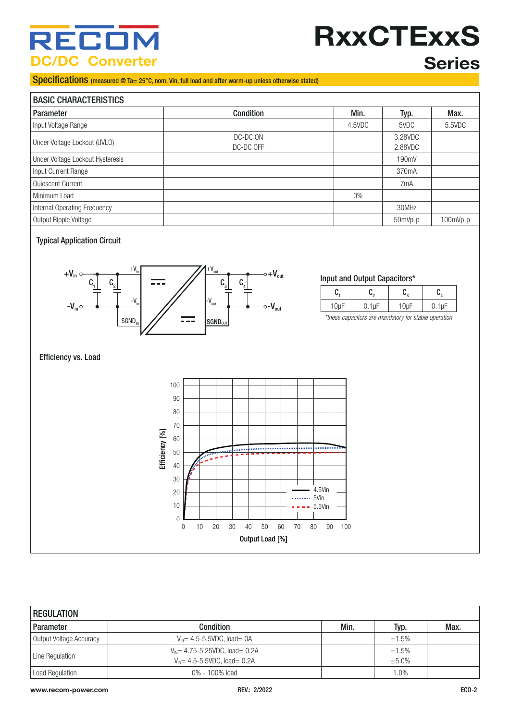## RECO **DC/DC Converter**

# **RxxCTExxS Series**

### Specifications (measured @ Ta= 25°C, nom. Vin, full load and after warm-up unless otherwise stated)

| <b>BASIC CHARACTERISTICS</b>     |                       |        |                    |            |  |
|----------------------------------|-----------------------|--------|--------------------|------------|--|
| <b>Parameter</b>                 | Condition             | Min.   | Typ.               | Max.       |  |
| Input Voltage Range              |                       | 4.5VDC | 5VDC               | 5.5VDC     |  |
| Under Voltage Lockout (UVLO)     | DC-DC ON<br>DC-DC OFF |        | 3.28VDC<br>2.88VDC |            |  |
| Under Voltage Lockout Hysteresis |                       |        | 190mV              |            |  |
| Input Current Range              |                       |        | 370 <sub>m</sub> A |            |  |
| Quiescent Current                |                       |        | 7 <sub>m</sub> A   |            |  |
| Minimum Load                     |                       | $0\%$  |                    |            |  |
| Internal Operating Frequency     |                       |        | 30MHz              |            |  |
| Output Ripple Voltage            |                       |        | 50mVp-p            | $100mVp-p$ |  |

### Typical Application Circuit



### Input and Output Capacitors\*

|  | $\ddotsc$<br>ъ. |  |
|--|-----------------|--|

*\*these capacitors are mandatory for stable operation*

### Efficiency vs. Load



| <b>REGULATION</b>       |                                                       |      |        |      |
|-------------------------|-------------------------------------------------------|------|--------|------|
| Parameter               | Condition                                             | Min. | Typ.   | Max. |
| Output Voltage Accuracy | $V_{\text{IN}}$ = 4.5-5.5VDC, load = 0A               |      | ±1.5%  |      |
| Line Regulation         | $V_{\text{N}} = 4.75 - 5.25 \text{VDC}$ , load = 0.2A |      | ±1.5%  |      |
|                         | $V_{\text{IN}}$ = 4.5-5.5VDC, load = 0.2A             |      | ±5.0%  |      |
| Load Regulation         | $0\% - 100\%$ load                                    |      | $.0\%$ |      |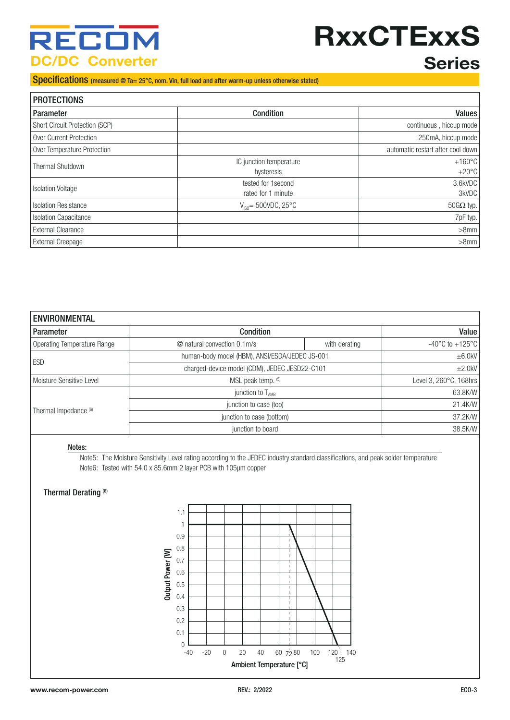## RECO **DC/DC Converter**

# **RxxCTExxS**

## **Series**

### Specifications (measured @ Ta= 25°C, nom. Vin, full load and after warm-up unless otherwise stated)

| <b>PROTECTIONS</b>             |                                           |                                     |  |  |
|--------------------------------|-------------------------------------------|-------------------------------------|--|--|
| Parameter                      | <b>Condition</b>                          | <b>Values</b>                       |  |  |
| Short Circuit Protection (SCP) |                                           | continuous, hiccup mode             |  |  |
| Over Current Protection        |                                           | 250mA, hiccup mode                  |  |  |
| Over Temperature Protection    |                                           | automatic restart after cool down   |  |  |
| <b>Thermal Shutdown</b>        | IC junction temperature<br>hysteresis     | $+160^{\circ}$ C<br>$+20^{\circ}$ C |  |  |
| <b>Isolation Voltage</b>       | tested for 1 second<br>rated for 1 minute | 3.6kVDC<br>3kVDC                    |  |  |
| <b>Isolation Resistance</b>    | $V_{\text{iso}}$ = 500VDC, 25°C           | $50G\Omega$ typ.                    |  |  |
| <b>Isolation Capacitance</b>   |                                           | $7pF$ typ.                          |  |  |
| <b>External Clearance</b>      |                                           | $>8$ mm                             |  |  |
| <b>External Creepage</b>       |                                           | $>8$ mm                             |  |  |

| <b>ENVIRONMENTAL</b>        |                                                |               |                        |  |
|-----------------------------|------------------------------------------------|---------------|------------------------|--|
| <b>Parameter</b>            | Condition                                      |               | Value                  |  |
| Operating Temperature Range | @ natural convection 0.1m/s                    | with derating |                        |  |
| <b>ESD</b>                  | human-body model (HBM), ANSI/ESDA/JEDEC JS-001 |               | $\pm 6.0$ kV           |  |
|                             | charged-device model (CDM), JEDEC JESD22-C101  |               | ±2.0kV                 |  |
| Moisture Sensitive Level    | MSL peak temp. (5)                             |               | Level 3, 260°C, 168hrs |  |
|                             | junction to $T_{AMB}$                          |               | 63.8K/W                |  |
| Thermal Impedance (6)       | junction to case (top)                         |               | 21.4K/W                |  |
|                             | junction to case (bottom)                      |               | 37.2K/W                |  |
|                             | junction to board                              |               | 38.5K/W                |  |

#### Notes:

Note5: The Moisture Sensitivity Level rating according to the JEDEC industry standard classifications, and peak solder temperature Note6: Tested with 54.0 x 85.6mm 2 layer PCB with 105µm copper

### Thermal Derating (6)

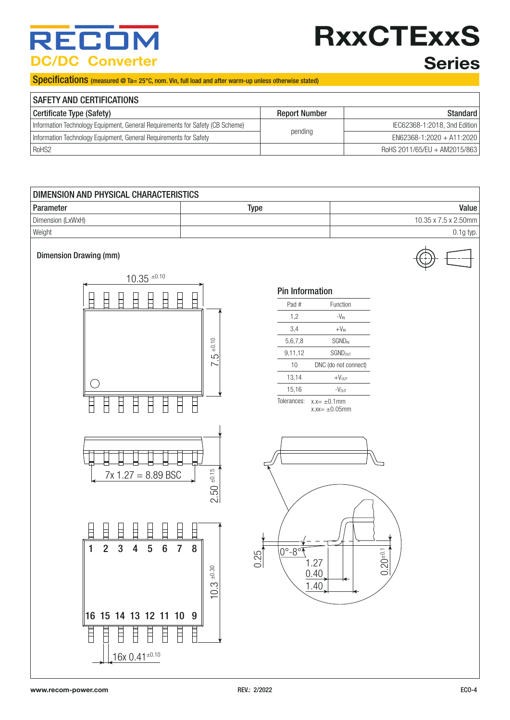## **SEC0 DC/DC Converter**

# **RxxCTExxS Series**

### Specifications (measured @ Ta= 25°C, nom. Vin, full load and after warm-up unless otherwise stated)

| <b>SAFETY AND CERTIFICATIONS</b>                                              |                      |                              |
|-------------------------------------------------------------------------------|----------------------|------------------------------|
| Certificate Type (Safety)                                                     | <b>Report Number</b> | Standard                     |
| Information Technology Equipment, General Requirements for Safety (CB Scheme) |                      | IEC62368-1:2018, 3nd Edition |
| Information Technology Equipment, General Requirements for Safety             | pending              | $EN62368-1:2020 + A11:2020$  |
| RoHS2                                                                         |                      | RoHS 2011/65/EU + AM2015/863 |